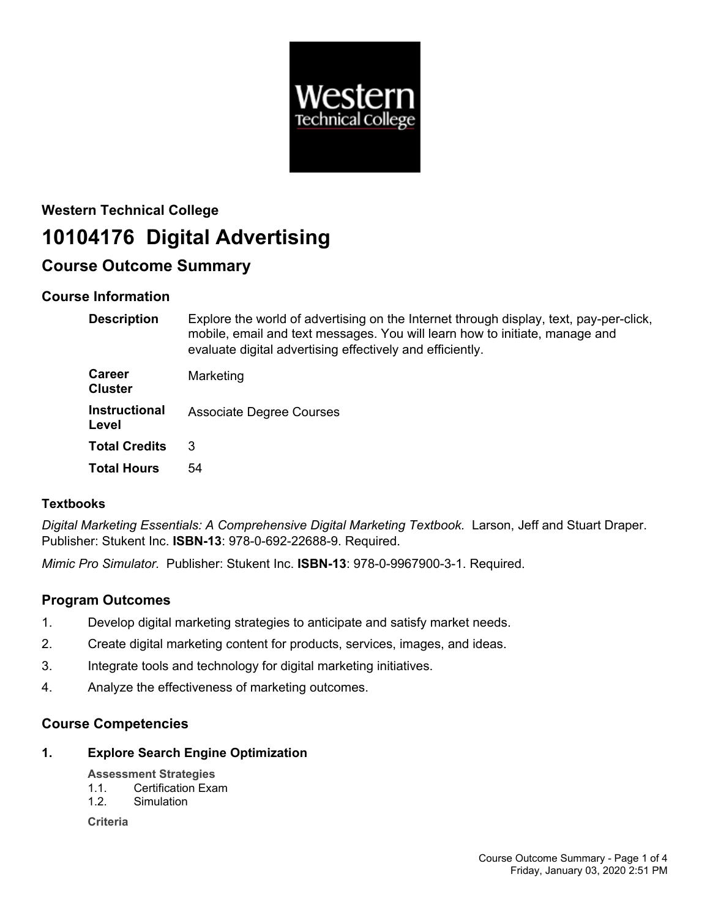

# **Western Technical College 10104176 Digital Advertising**

## **Course Outcome Summary**

## **Course Information**

| <b>Description</b>              | Explore the world of advertising on the Internet through display, text, pay-per-click,<br>mobile, email and text messages. You will learn how to initiate, manage and<br>evaluate digital advertising effectively and efficiently. |
|---------------------------------|------------------------------------------------------------------------------------------------------------------------------------------------------------------------------------------------------------------------------------|
| <b>Career</b><br><b>Cluster</b> | Marketing                                                                                                                                                                                                                          |
| <b>Instructional</b><br>Level   | <b>Associate Degree Courses</b>                                                                                                                                                                                                    |
| <b>Total Credits</b>            | 3                                                                                                                                                                                                                                  |
| <b>Total Hours</b>              | 54                                                                                                                                                                                                                                 |

## **Textbooks**

*Digital Marketing Essentials: A Comprehensive Digital Marketing Textbook.* Larson, Jeff and Stuart Draper. Publisher: Stukent Inc. **ISBN-13**: 978-0-692-22688-9. Required.

*Mimic Pro Simulator.* Publisher: Stukent Inc. **ISBN-13**: 978-0-9967900-3-1. Required.

## **Program Outcomes**

- 1. Develop digital marketing strategies to anticipate and satisfy market needs.
- 2. Create digital marketing content for products, services, images, and ideas.
- 3. Integrate tools and technology for digital marketing initiatives.
- 4. Analyze the effectiveness of marketing outcomes.

## **Course Competencies**

**1. Explore Search Engine Optimization**

#### **Assessment Strategies**

- 1.1. Certification Exam
- 1.2. Simulation

**Criteria**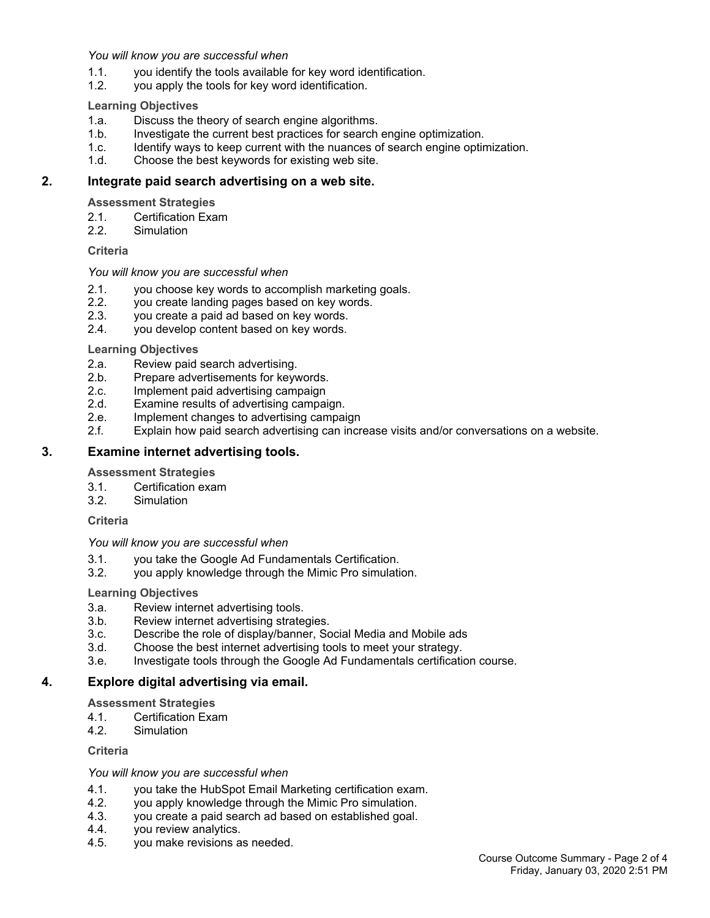#### *You will know you are successful when*

- 1.1. you identify the tools available for key word identification.
- 1.2. you apply the tools for key word identification.

#### **Learning Objectives**

- 1.a. Discuss the theory of search engine algorithms.
- 1.b. Investigate the current best practices for search engine optimization.
- 1.c. Identify ways to keep current with the nuances of search engine optimization.
- 1.d. Choose the best keywords for existing web site.

### **2. Integrate paid search advertising on a web site.**

#### **Assessment Strategies**

- 2.1. Certification Exam
- 2.2. Simulation

#### **Criteria**

#### *You will know you are successful when*

- 2.1. you choose key words to accomplish marketing goals.
- 2.2. you create landing pages based on key words.
- 2.3. you create a paid ad based on key words.
- 2.4. you develop content based on key words.

#### **Learning Objectives**

- 2.a. Review paid search advertising.
- 2.b. Prepare advertisements for keywords.
- 2.c. Implement paid advertising campaign
- 2.d. Examine results of advertising campaign.
- 2.e. Implement changes to advertising campaign
- 2.f. Explain how paid search advertising can increase visits and/or conversations on a website.

#### **3. Examine internet advertising tools.**

#### **Assessment Strategies**

- 3.1. Certification exam
- 3.2. Simulation

#### **Criteria**

#### *You will know you are successful when*

- 3.1. you take the Google Ad Fundamentals Certification.
- 3.2. you apply knowledge through the Mimic Pro simulation.

#### **Learning Objectives**

- 3.a. Review internet advertising tools.
- 3.b. Review internet advertising strategies.
- 3.c. Describe the role of display/banner, Social Media and Mobile ads
- 3.d. Choose the best internet advertising tools to meet your strategy.
- 3.e. Investigate tools through the Google Ad Fundamentals certification course.

#### **4. Explore digital advertising via email.**

#### **Assessment Strategies**

- 4.1. Certification Exam
- 4.2. Simulation

#### **Criteria**

#### *You will know you are successful when*

- 4.1. you take the HubSpot Email Marketing certification exam.
- 4.2. you apply knowledge through the Mimic Pro simulation.
- 4.3. you create a paid search ad based on established goal.
- 4.4. you review analytics.
- 4.5. you make revisions as needed.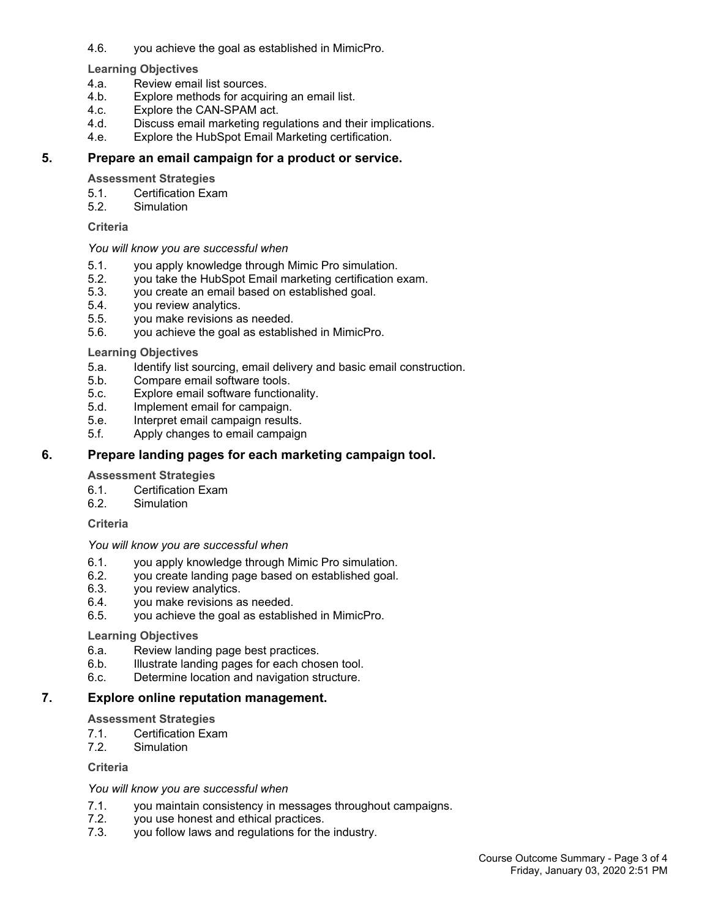4.6. you achieve the goal as established in MimicPro.

#### **Learning Objectives**

- 4.a. Review email list sources.
- 4.b. Explore methods for acquiring an email list.
- 4.c. Explore the CAN-SPAM act.
- 4.d. Discuss email marketing regulations and their implications.
- 4.e. Explore the HubSpot Email Marketing certification.

#### **5. Prepare an email campaign for a product or service.**

#### **Assessment Strategies**

- 5.1. Certification Exam
- 5.2. Simulation

#### **Criteria**

#### *You will know you are successful when*

- 5.1. you apply knowledge through Mimic Pro simulation.
- 5.2. you take the HubSpot Email marketing certification exam.
- 5.3. you create an email based on established goal.
- 5.4. you review analytics.
- 5.5. you make revisions as needed.
- 5.6. you achieve the goal as established in MimicPro.

#### **Learning Objectives**

- 5.a. Identify list sourcing, email delivery and basic email construction.
- 5.b. Compare email software tools.
- 5.c. Explore email software functionality.
- 5.d. Implement email for campaign.
- 5.e. Interpret email campaign results.
- 5.f. Apply changes to email campaign

### **6. Prepare landing pages for each marketing campaign tool.**

#### **Assessment Strategies**

- 6.1. Certification Exam<br>6.2. Simulation
- **Simulation**

#### **Criteria**

#### *You will know you are successful when*

- 6.1. you apply knowledge through Mimic Pro simulation.
- 6.2. you create landing page based on established goal.
- 6.3. you review analytics.
- 6.4. you make revisions as needed.
- 6.5. you achieve the goal as established in MimicPro.

#### **Learning Objectives**

- 6.a. Review landing page best practices.
- 6.b. Illustrate landing pages for each chosen tool.
- 6.c. Determine location and navigation structure.

## **7. Explore online reputation management.**

## **Assessment Strategies**

- 7.1. Certification Exam
- 7.2. Simulation

## **Criteria**

## *You will know you are successful when*

- 7.1. you maintain consistency in messages throughout campaigns.<br>7.2. vou use honest and ethical practices.
- you use honest and ethical practices.
- 7.3. you follow laws and regulations for the industry.